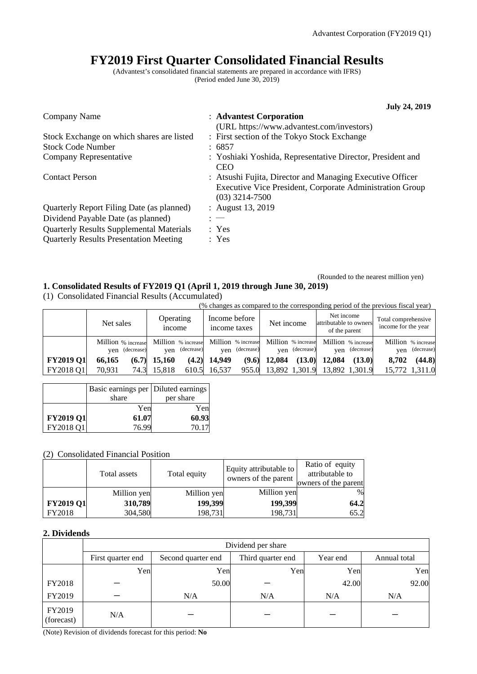(Rounded to the nearest million yen)

# **FY2019 First Quarter Consolidated Financial Results**

(Advantest's consolidated financial statements are prepared in accordance with IFRS) (Period ended June 30, 2019)

|                                                 | <b>July 24, 2019</b>                                                                                                                      |
|-------------------------------------------------|-------------------------------------------------------------------------------------------------------------------------------------------|
| Company Name                                    | : Advantest Corporation<br>(URL https://www.advantest.com/investors)                                                                      |
| Stock Exchange on which shares are listed       | : First section of the Tokyo Stock Exchange                                                                                               |
| <b>Stock Code Number</b>                        | : 6857                                                                                                                                    |
| Company Representative                          | : Yoshiaki Yoshida, Representative Director, President and<br><b>CEO</b>                                                                  |
| <b>Contact Person</b>                           | : Atsushi Fujita, Director and Managing Executive Officer<br>Executive Vice President, Corporate Administration Group<br>$(03)$ 3214-7500 |
| Quarterly Report Filing Date (as planned)       | : August 13, 2019                                                                                                                         |
| Dividend Payable Date (as planned)              | $: -$                                                                                                                                     |
| <b>Quarterly Results Supplemental Materials</b> | : Yes                                                                                                                                     |
| <b>Quarterly Results Presentation Meeting</b>   | : Yes                                                                                                                                     |

## **1. Consolidated Results of FY2019 Q1 (April 1, 2019 through June 30, 2019)**

(1) Consolidated Financial Results (Accumulated)

|                  | (% changes as compared to the corresponding period of the previous fiscal year) |                                         |                               |                                                            |                                                       |                                            |
|------------------|---------------------------------------------------------------------------------|-----------------------------------------|-------------------------------|------------------------------------------------------------|-------------------------------------------------------|--------------------------------------------|
|                  | Net sales                                                                       | Operating<br><i>n</i> come              | Income before<br>income taxes | Net income                                                 | Net income<br>attributable to owners<br>of the parent | Total comprehensive<br>income for the year |
|                  | Million % increase<br>ven (decrease)                                            | Million % increase<br>(decrease)<br>ven | ven (decrease)                | Million % increase Million % increase<br>(decrease)<br>ven | Million % increase<br>(decrease)<br>ven               | Million % increase<br>(decrease)<br>ven    |
| <b>FY2019 Q1</b> | 66.165<br>(6.7)                                                                 | 15,160                                  | $(4.2)$ 14,949<br>(9.6)       | 12,084<br>(13.0)                                           | 12,084<br>(13.0)                                      | (44.8)<br>8.702                            |

FY2018 Q1 70,931 74.3 15,818 610.5 16,537 955.0 13,892 1,301.9 13,892 1,301.9 15,772 1,311.0

|                  | Basic earnings per   Diluted earnings<br>share | per share |
|------------------|------------------------------------------------|-----------|
|                  | Yen                                            | Yen       |
| <b>FY2019 Q1</b> | 61.07                                          | 60.93     |
| FY2018 Q1        | 76.99                                          | 70.17     |

## (2) Consolidated Financial Position

|                  | Total assets | Total equity | Equity attributable to<br>owners of the parent | Ratio of equity<br>attributable to<br>owners of the parent |
|------------------|--------------|--------------|------------------------------------------------|------------------------------------------------------------|
|                  | Million yen  | Million yen  | Million yen                                    | $\%$                                                       |
| <b>FY2019 Q1</b> | 310,789      | 199,399      | 199,399                                        | 64.2                                                       |
| FY2018           | 304,580      | 198,731      | 198,731                                        | 65.2                                                       |

## **2. Dividends**

|                      |                   | Dividend per share                                  |     |       |       |  |  |  |
|----------------------|-------------------|-----------------------------------------------------|-----|-------|-------|--|--|--|
|                      | First quarter end | Second quarter end<br>Third quarter end<br>Year end |     |       |       |  |  |  |
|                      | Yen               | Yen                                                 | Yen | Yen   | Yen   |  |  |  |
| FY2018               |                   | 50.00                                               |     | 42.00 | 92.00 |  |  |  |
| FY2019               |                   | N/A                                                 | N/A | N/A   | N/A   |  |  |  |
| FY2019<br>(forecast) | N/A               |                                                     |     |       |       |  |  |  |

(Note) Revision of dividends forecast for this period: **No**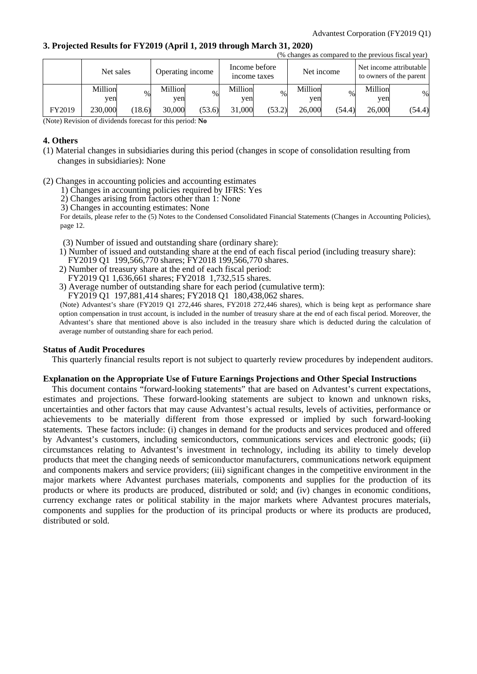### **3. Projected Results for FY2019 (April 1, 2019 through March 31, 2020)**

|        |                               |        |         |                               |         |            |         |        |                                                    | (% changes as compared to the previous fiscal year) |
|--------|-------------------------------|--------|---------|-------------------------------|---------|------------|---------|--------|----------------------------------------------------|-----------------------------------------------------|
|        | Net sales<br>Operating income |        |         | Income before<br>income taxes |         | Net income |         |        | Net income attributable<br>to owners of the parent |                                                     |
|        | Million                       | $\%$   | Million | $\%$                          | Million | $\%$       | Million | $\%$   | Million                                            | %                                                   |
|        | yen                           |        | yen     |                               | yen     |            | yen     |        | yen                                                |                                                     |
| FY2019 | 230,000                       | (18.6) | 30,000  | (53.6)                        | 31,000  | (53.2)     | 26,000  | (54.4) | 26,000                                             | (54.4)                                              |

(Note) Revision of dividends forecast for this period: **No**

### **4. Others**

- (1) Material changes in subsidiaries during this period (changes in scope of consolidation resulting from changes in subsidiaries): None
- (2) Changes in accounting policies and accounting estimates
	- 1) Changes in accounting policies required by IFRS: Yes
	- 2) Changes arising from factors other than 1: None
	- 3) Changes in accounting estimates: None

For details, please refer to the (5) Notes to the Condensed Consolidated Financial Statements (Changes in Accounting Policies), page 12.

(3) Number of issued and outstanding share (ordinary share):

- 1) Number of issued and outstanding share at the end of each fiscal period (including treasury share): FY2019 Q1 199,566,770 shares; FY2018 199,566,770 shares.
- 2) Number of treasury share at the end of each fiscal period:
- FY2019 Q1 1,636,661 shares; FY2018 1,732,515 shares.
- 3) Average number of outstanding share for each period (cumulative term):

FY2019 Q1 197,881,414 shares; FY2018 Q1 180,438,062 shares.

(Note) Advantest's share (FY2019 Q1 272,446 shares, FY2018 272,446 shares), which is being kept as performance share option compensation in trust account, is included in the number of treasury share at the end of each fiscal period. Moreover, the Advantest's share that mentioned above is also included in the treasury share which is deducted during the calculation of average number of outstanding share for each period.

### **Status of Audit Procedures**

This quarterly financial results report is not subject to quarterly review procedures by independent auditors.

#### **Explanation on the Appropriate Use of Future Earnings Projections and Other Special Instructions**

This document contains "forward-looking statements" that are based on Advantest's current expectations, estimates and projections. These forward-looking statements are subject to known and unknown risks, uncertainties and other factors that may cause Advantest's actual results, levels of activities, performance or achievements to be materially different from those expressed or implied by such forward-looking statements. These factors include: (i) changes in demand for the products and services produced and offered by Advantest's customers, including semiconductors, communications services and electronic goods; (ii) circumstances relating to Advantest's investment in technology, including its ability to timely develop products that meet the changing needs of semiconductor manufacturers, communications network equipment and components makers and service providers; (iii) significant changes in the competitive environment in the major markets where Advantest purchases materials, components and supplies for the production of its products or where its products are produced, distributed or sold; and (iv) changes in economic conditions, currency exchange rates or political stability in the major markets where Advantest procures materials, components and supplies for the production of its principal products or where its products are produced, distributed or sold.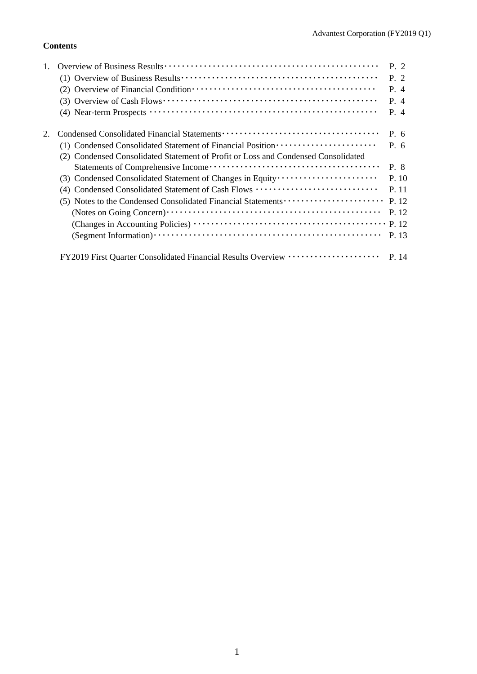## **Contents**

|                                                                                   | P. 2  |
|-----------------------------------------------------------------------------------|-------|
|                                                                                   | P. 2  |
|                                                                                   | P. 4  |
|                                                                                   | P. 4  |
|                                                                                   | P. 4  |
|                                                                                   | P. 6  |
| (1) Condensed Consolidated Statement of Financial Position ······················ | P. 6  |
| (2) Condensed Consolidated Statement of Profit or Loss and Condensed Consolidated |       |
|                                                                                   | P. 8  |
|                                                                                   | P. 10 |
| (4) Condensed Consolidated Statement of Cash Flows                                | P. 11 |
| (5) Notes to the Condensed Consolidated Financial Statements                      | P. 12 |
|                                                                                   | P. 12 |
|                                                                                   | P. 12 |
|                                                                                   | P. 13 |
| FY2019 First Quarter Consolidated Financial Results Overview ···················· | P. 14 |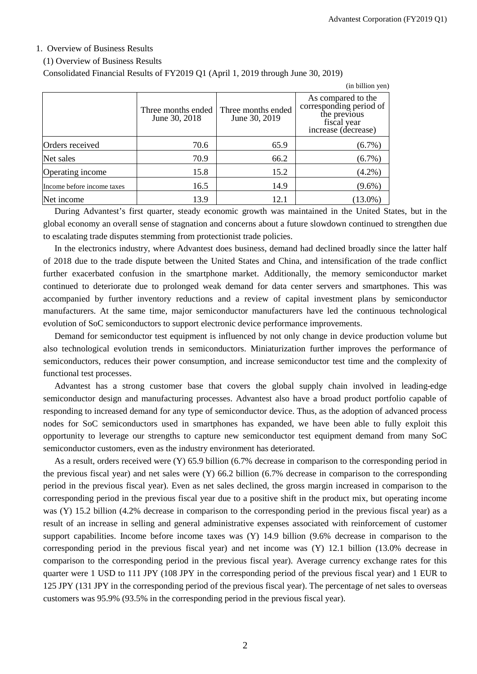$(in$  billion  $van$ )

## 1. Overview of Business Results

#### (1) Overview of Business Results

Consolidated Financial Results of FY2019 Q1 (April 1, 2019 through June 30, 2019)

|                            |                                     |                                     | THE OTHER YOU'LL                                                                                    |
|----------------------------|-------------------------------------|-------------------------------------|-----------------------------------------------------------------------------------------------------|
|                            | Three months ended<br>June 30, 2018 | Three months ended<br>June 30, 2019 | As compared to the<br>corresponding period of<br>the previous<br>fiscal year<br>increase (decrease) |
| Orders received            | 70.6                                | 65.9                                | $(6.7\%)$                                                                                           |
| Net sales                  | 70.9                                | 66.2                                | $(6.7\%)$                                                                                           |
| Operating income           | 15.8                                | 15.2                                | $(4.2\%)$                                                                                           |
| Income before income taxes | 16.5                                | 14.9                                | $(9.6\%)$                                                                                           |
| Net income                 | 13.9                                | 12.1                                | $(13.0\%)$                                                                                          |

During Advantest's first quarter, steady economic growth was maintained in the United States, but in the global economy an overall sense of stagnation and concerns about a future slowdown continued to strengthen due to escalating trade disputes stemming from protectionist trade policies.

In the electronics industry, where Advantest does business, demand had declined broadly since the latter half of 2018 due to the trade dispute between the United States and China, and intensification of the trade conflict further exacerbated confusion in the smartphone market. Additionally, the memory semiconductor market continued to deteriorate due to prolonged weak demand for data center servers and smartphones. This was accompanied by further inventory reductions and a review of capital investment plans by semiconductor manufacturers. At the same time, major semiconductor manufacturers have led the continuous technological evolution of SoC semiconductors to support electronic device performance improvements.

Demand for semiconductor test equipment is influenced by not only change in device production volume but also technological evolution trends in semiconductors. Miniaturization further improves the performance of semiconductors, reduces their power consumption, and increase semiconductor test time and the complexity of functional test processes.

Advantest has a strong customer base that covers the global supply chain involved in leading-edge semiconductor design and manufacturing processes. Advantest also have a broad product portfolio capable of responding to increased demand for any type of semiconductor device. Thus, as the adoption of advanced process nodes for SoC semiconductors used in smartphones has expanded, we have been able to fully exploit this opportunity to leverage our strengths to capture new semiconductor test equipment demand from many SoC semiconductor customers, even as the industry environment has deteriorated.

As a result, orders received were (Y) 65.9 billion (6.7% decrease in comparison to the corresponding period in the previous fiscal year) and net sales were (Y) 66.2 billion (6.7% decrease in comparison to the corresponding period in the previous fiscal year). Even as net sales declined, the gross margin increased in comparison to the corresponding period in the previous fiscal year due to a positive shift in the product mix, but operating income was (Y) 15.2 billion (4.2% decrease in comparison to the corresponding period in the previous fiscal year) as a result of an increase in selling and general administrative expenses associated with reinforcement of customer support capabilities. Income before income taxes was (Y) 14.9 billion (9.6% decrease in comparison to the corresponding period in the previous fiscal year) and net income was (Y) 12.1 billion (13.0% decrease in comparison to the corresponding period in the previous fiscal year). Average currency exchange rates for this quarter were 1 USD to 111 JPY (108 JPY in the corresponding period of the previous fiscal year) and 1 EUR to 125 JPY (131 JPY in the corresponding period of the previous fiscal year). The percentage of net sales to overseas customers was 95.9% (93.5% in the corresponding period in the previous fiscal year).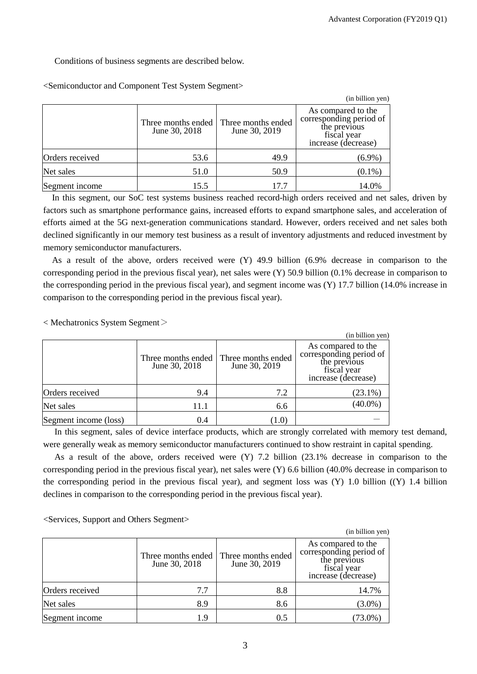Conditions of business segments are described below.

|                 |                                     |                                     | (in billion yen)                                                                                    |
|-----------------|-------------------------------------|-------------------------------------|-----------------------------------------------------------------------------------------------------|
|                 | Three months ended<br>June 30, 2018 | Three months ended<br>June 30, 2019 | As compared to the<br>corresponding period of<br>the previous<br>fiscal year<br>increase (decrease) |
| Orders received | 53.6                                | 49.9                                | $(6.9\%)$                                                                                           |
| Net sales       | 51.0                                | 50.9                                | $(0.1\%)$                                                                                           |
| Segment income  | 15.5                                | 17.7                                | 14.0%                                                                                               |

<Semiconductor and Component Test System Segment>

In this segment, our SoC test systems business reached record-high orders received and net sales, driven by factors such as smartphone performance gains, increased efforts to expand smartphone sales, and acceleration of efforts aimed at the 5G next-generation communications standard. However, orders received and net sales both declined significantly in our memory test business as a result of inventory adjustments and reduced investment by memory semiconductor manufacturers.

As a result of the above, orders received were (Y) 49.9 billion (6.9% decrease in comparison to the corresponding period in the previous fiscal year), net sales were (Y) 50.9 billion (0.1% decrease in comparison to the corresponding period in the previous fiscal year), and segment income was (Y) 17.7 billion (14.0% increase in comparison to the corresponding period in the previous fiscal year).

 $<$  Mechatronics System Segment $>$ 

|                       |                                     |                                     | (in billion yen)                                                                                    |
|-----------------------|-------------------------------------|-------------------------------------|-----------------------------------------------------------------------------------------------------|
|                       | Three months ended<br>June 30, 2018 | Three months ended<br>June 30, 2019 | As compared to the<br>corresponding period of<br>the previous<br>fiscal year<br>increase (decrease) |
| Orders received       | 9.4                                 | 7.2                                 | $(23.1\%)$                                                                                          |
| Net sales             | 11.1                                | 6.6                                 | $(40.0\%)$                                                                                          |
| Segment income (loss) | 0.4                                 | (1.0)                               |                                                                                                     |

In this segment, sales of device interface products, which are strongly correlated with memory test demand, were generally weak as memory semiconductor manufacturers continued to show restraint in capital spending.

As a result of the above, orders received were (Y) 7.2 billion (23.1% decrease in comparison to the corresponding period in the previous fiscal year), net sales were (Y) 6.6 billion (40.0% decrease in comparison to the corresponding period in the previous fiscal year), and segment loss was (Y) 1.0 billion ((Y) 1.4 billion declines in comparison to the corresponding period in the previous fiscal year).

<Services, Support and Others Segment>

|                 |                                     |                                     | (in billion yen)                                                                                    |
|-----------------|-------------------------------------|-------------------------------------|-----------------------------------------------------------------------------------------------------|
|                 | Three months ended<br>June 30, 2018 | Three months ended<br>June 30, 2019 | As compared to the<br>corresponding period of<br>the previous<br>fiscal year<br>increase (decrease) |
| Orders received | 7.7                                 | 8.8                                 | 14.7%                                                                                               |
| Net sales       | 8.9                                 | 8.6                                 | $(3.0\%)$                                                                                           |
| Segment income  | 1.9                                 | 0.5                                 | $(73.0\%)$                                                                                          |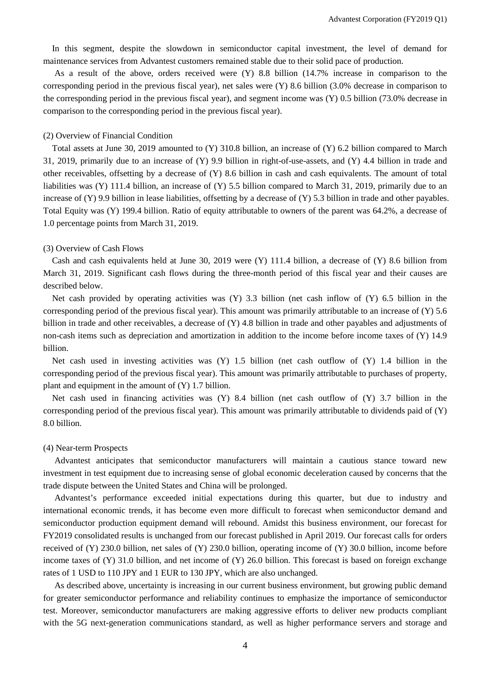In this segment, despite the slowdown in semiconductor capital investment, the level of demand for maintenance services from Advantest customers remained stable due to their solid pace of production.

As a result of the above, orders received were (Y) 8.8 billion (14.7% increase in comparison to the corresponding period in the previous fiscal year), net sales were (Y) 8.6 billion (3.0% decrease in comparison to the corresponding period in the previous fiscal year), and segment income was (Y) 0.5 billion (73.0% decrease in comparison to the corresponding period in the previous fiscal year).

### (2) Overview of Financial Condition

Total assets at June 30, 2019 amounted to (Y) 310.8 billion, an increase of (Y) 6.2 billion compared to March 31, 2019, primarily due to an increase of (Y) 9.9 billion in right-of-use-assets, and (Y) 4.4 billion in trade and other receivables, offsetting by a decrease of (Y) 8.6 billion in cash and cash equivalents. The amount of total liabilities was (Y) 111.4 billion, an increase of (Y) 5.5 billion compared to March 31, 2019, primarily due to an increase of (Y) 9.9 billion in lease liabilities, offsetting by a decrease of (Y) 5.3 billion in trade and other payables. Total Equity was (Y) 199.4 billion. Ratio of equity attributable to owners of the parent was 64.2%, a decrease of 1.0 percentage points from March 31, 2019.

### (3) Overview of Cash Flows

Cash and cash equivalents held at June 30, 2019 were (Y) 111.4 billion, a decrease of (Y) 8.6 billion from March 31, 2019. Significant cash flows during the three-month period of this fiscal year and their causes are described below.

Net cash provided by operating activities was (Y) 3.3 billion (net cash inflow of (Y) 6.5 billion in the corresponding period of the previous fiscal year). This amount was primarily attributable to an increase of (Y) 5.6 billion in trade and other receivables, a decrease of (Y) 4.8 billion in trade and other payables and adjustments of non-cash items such as depreciation and amortization in addition to the income before income taxes of (Y) 14.9 billion.

Net cash used in investing activities was (Y) 1.5 billion (net cash outflow of (Y) 1.4 billion in the corresponding period of the previous fiscal year). This amount was primarily attributable to purchases of property, plant and equipment in the amount of (Y) 1.7 billion.

Net cash used in financing activities was (Y) 8.4 billion (net cash outflow of (Y) 3.7 billion in the corresponding period of the previous fiscal year). This amount was primarily attributable to dividends paid of (Y) 8.0 billion.

#### (4) Near-term Prospects

Advantest anticipates that semiconductor manufacturers will maintain a cautious stance toward new investment in test equipment due to increasing sense of global economic deceleration caused by concerns that the trade dispute between the United States and China will be prolonged.

Advantest's performance exceeded initial expectations during this quarter, but due to industry and international economic trends, it has become even more difficult to forecast when semiconductor demand and semiconductor production equipment demand will rebound. Amidst this business environment, our forecast for FY2019 consolidated results is unchanged from our forecast published in April 2019. Our forecast calls for orders received of (Y) 230.0 billion, net sales of (Y) 230.0 billion, operating income of (Y) 30.0 billion, income before income taxes of (Y) 31.0 billion, and net income of (Y) 26.0 billion. This forecast is based on foreign exchange rates of 1 USD to 110 JPY and 1 EUR to 130 JPY, which are also unchanged.

As described above, uncertainty is increasing in our current business environment, but growing public demand for greater semiconductor performance and reliability continues to emphasize the importance of semiconductor test. Moreover, semiconductor manufacturers are making aggressive efforts to deliver new products compliant with the 5G next-generation communications standard, as well as higher performance servers and storage and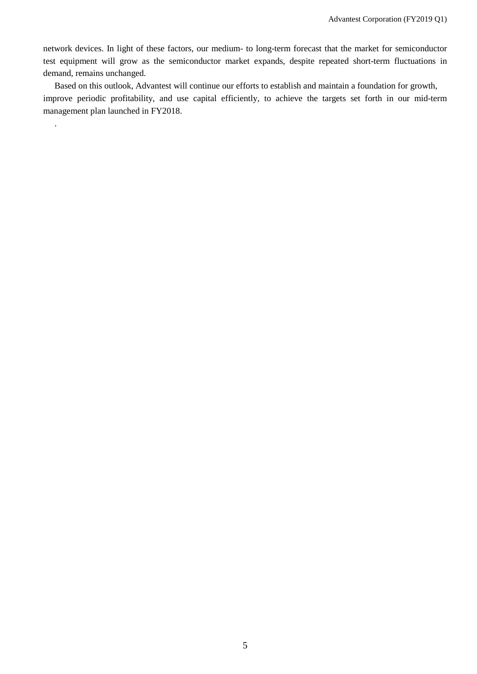network devices. In light of these factors, our medium- to long-term forecast that the market for semiconductor test equipment will grow as the semiconductor market expands, despite repeated short-term fluctuations in demand, remains unchanged.

Based on this outlook, Advantest will continue our efforts to establish and maintain a foundation for growth, improve periodic profitability, and use capital efficiently, to achieve the targets set forth in our mid-term management plan launched in FY2018.

.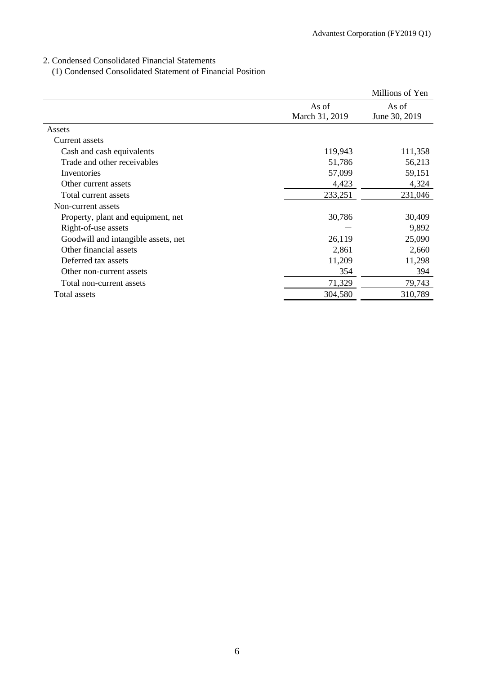2. Condensed Consolidated Financial Statements

(1) Condensed Consolidated Statement of Financial Position

|                                     |                         | Millions of Yen        |
|-------------------------------------|-------------------------|------------------------|
|                                     | As of<br>March 31, 2019 | As of<br>June 30, 2019 |
| Assets                              |                         |                        |
| Current assets                      |                         |                        |
| Cash and cash equivalents           | 119,943                 | 111,358                |
| Trade and other receivables         | 51,786                  | 56,213                 |
| Inventories                         | 57,099                  | 59,151                 |
| Other current assets                | 4,423                   | 4,324                  |
| Total current assets                | 233,251                 | 231,046                |
| Non-current assets                  |                         |                        |
| Property, plant and equipment, net  | 30,786                  | 30,409                 |
| Right-of-use assets                 |                         | 9,892                  |
| Goodwill and intangible assets, net | 26,119                  | 25,090                 |
| Other financial assets              | 2,861                   | 2,660                  |
| Deferred tax assets                 | 11,209                  | 11,298                 |
| Other non-current assets            | 354                     | 394                    |
| Total non-current assets            | 71,329                  | 79,743                 |
| Total assets                        | 304,580                 | 310,789                |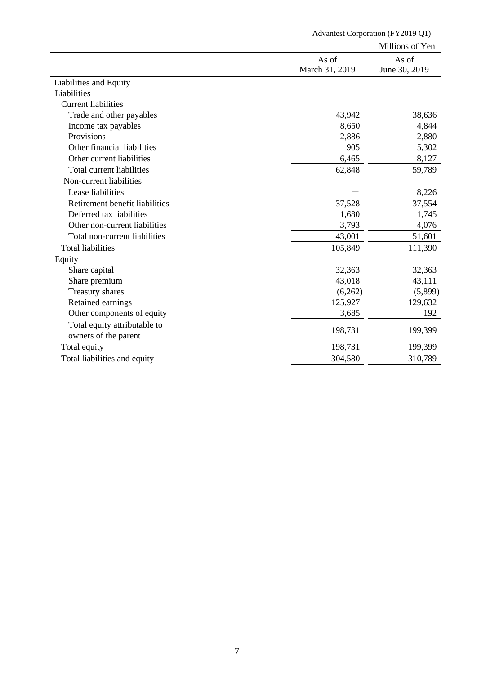| As of<br>As of<br>March 31, 2019<br>June 30, 2019<br>Liabilities and Equity<br>Liabilities<br><b>Current liabilities</b><br>Trade and other payables<br>43,942<br>38,636<br>8,650<br>4,844<br>Income tax payables<br>Provisions<br>2,880<br>2,886<br>Other financial liabilities<br>5,302<br>905<br>Other current liabilities<br>8,127<br>6,465<br>Total current liabilities<br>62,848<br>59,789<br>Non-current liabilities<br>Lease liabilities<br>8,226<br>Retirement benefit liabilities<br>37,554<br>37,528<br>Deferred tax liabilities<br>1,680<br>1,745<br>4,076<br>Other non-current liabilities<br>3,793<br>Total non-current liabilities<br>43,001<br>51,601<br><b>Total liabilities</b><br>105,849<br>111,390<br>Equity<br>32,363<br>32,363<br>Share capital<br>Share premium<br>43,018<br>43,111<br>Treasury shares<br>(6,262)<br>Retained earnings<br>125,927<br>129,632<br>Other components of equity<br>192<br>3,685<br>Total equity attributable to<br>198,731<br>199,399<br>owners of the parent<br>Total equity<br>198,731<br>199,399<br>Total liabilities and equity<br>304,580<br>310,789 |  | Millions of Yen |
|--------------------------------------------------------------------------------------------------------------------------------------------------------------------------------------------------------------------------------------------------------------------------------------------------------------------------------------------------------------------------------------------------------------------------------------------------------------------------------------------------------------------------------------------------------------------------------------------------------------------------------------------------------------------------------------------------------------------------------------------------------------------------------------------------------------------------------------------------------------------------------------------------------------------------------------------------------------------------------------------------------------------------------------------------------------------------------------------------------------|--|-----------------|
|                                                                                                                                                                                                                                                                                                                                                                                                                                                                                                                                                                                                                                                                                                                                                                                                                                                                                                                                                                                                                                                                                                              |  |                 |
|                                                                                                                                                                                                                                                                                                                                                                                                                                                                                                                                                                                                                                                                                                                                                                                                                                                                                                                                                                                                                                                                                                              |  |                 |
|                                                                                                                                                                                                                                                                                                                                                                                                                                                                                                                                                                                                                                                                                                                                                                                                                                                                                                                                                                                                                                                                                                              |  |                 |
|                                                                                                                                                                                                                                                                                                                                                                                                                                                                                                                                                                                                                                                                                                                                                                                                                                                                                                                                                                                                                                                                                                              |  |                 |
|                                                                                                                                                                                                                                                                                                                                                                                                                                                                                                                                                                                                                                                                                                                                                                                                                                                                                                                                                                                                                                                                                                              |  |                 |
|                                                                                                                                                                                                                                                                                                                                                                                                                                                                                                                                                                                                                                                                                                                                                                                                                                                                                                                                                                                                                                                                                                              |  |                 |
|                                                                                                                                                                                                                                                                                                                                                                                                                                                                                                                                                                                                                                                                                                                                                                                                                                                                                                                                                                                                                                                                                                              |  |                 |
|                                                                                                                                                                                                                                                                                                                                                                                                                                                                                                                                                                                                                                                                                                                                                                                                                                                                                                                                                                                                                                                                                                              |  |                 |
|                                                                                                                                                                                                                                                                                                                                                                                                                                                                                                                                                                                                                                                                                                                                                                                                                                                                                                                                                                                                                                                                                                              |  |                 |
|                                                                                                                                                                                                                                                                                                                                                                                                                                                                                                                                                                                                                                                                                                                                                                                                                                                                                                                                                                                                                                                                                                              |  |                 |
|                                                                                                                                                                                                                                                                                                                                                                                                                                                                                                                                                                                                                                                                                                                                                                                                                                                                                                                                                                                                                                                                                                              |  |                 |
|                                                                                                                                                                                                                                                                                                                                                                                                                                                                                                                                                                                                                                                                                                                                                                                                                                                                                                                                                                                                                                                                                                              |  |                 |
|                                                                                                                                                                                                                                                                                                                                                                                                                                                                                                                                                                                                                                                                                                                                                                                                                                                                                                                                                                                                                                                                                                              |  |                 |
|                                                                                                                                                                                                                                                                                                                                                                                                                                                                                                                                                                                                                                                                                                                                                                                                                                                                                                                                                                                                                                                                                                              |  |                 |
|                                                                                                                                                                                                                                                                                                                                                                                                                                                                                                                                                                                                                                                                                                                                                                                                                                                                                                                                                                                                                                                                                                              |  |                 |
|                                                                                                                                                                                                                                                                                                                                                                                                                                                                                                                                                                                                                                                                                                                                                                                                                                                                                                                                                                                                                                                                                                              |  |                 |
|                                                                                                                                                                                                                                                                                                                                                                                                                                                                                                                                                                                                                                                                                                                                                                                                                                                                                                                                                                                                                                                                                                              |  |                 |
|                                                                                                                                                                                                                                                                                                                                                                                                                                                                                                                                                                                                                                                                                                                                                                                                                                                                                                                                                                                                                                                                                                              |  |                 |
|                                                                                                                                                                                                                                                                                                                                                                                                                                                                                                                                                                                                                                                                                                                                                                                                                                                                                                                                                                                                                                                                                                              |  |                 |
|                                                                                                                                                                                                                                                                                                                                                                                                                                                                                                                                                                                                                                                                                                                                                                                                                                                                                                                                                                                                                                                                                                              |  |                 |
|                                                                                                                                                                                                                                                                                                                                                                                                                                                                                                                                                                                                                                                                                                                                                                                                                                                                                                                                                                                                                                                                                                              |  |                 |
|                                                                                                                                                                                                                                                                                                                                                                                                                                                                                                                                                                                                                                                                                                                                                                                                                                                                                                                                                                                                                                                                                                              |  | (5,899)         |
|                                                                                                                                                                                                                                                                                                                                                                                                                                                                                                                                                                                                                                                                                                                                                                                                                                                                                                                                                                                                                                                                                                              |  |                 |
|                                                                                                                                                                                                                                                                                                                                                                                                                                                                                                                                                                                                                                                                                                                                                                                                                                                                                                                                                                                                                                                                                                              |  |                 |
|                                                                                                                                                                                                                                                                                                                                                                                                                                                                                                                                                                                                                                                                                                                                                                                                                                                                                                                                                                                                                                                                                                              |  |                 |
|                                                                                                                                                                                                                                                                                                                                                                                                                                                                                                                                                                                                                                                                                                                                                                                                                                                                                                                                                                                                                                                                                                              |  |                 |
|                                                                                                                                                                                                                                                                                                                                                                                                                                                                                                                                                                                                                                                                                                                                                                                                                                                                                                                                                                                                                                                                                                              |  |                 |
|                                                                                                                                                                                                                                                                                                                                                                                                                                                                                                                                                                                                                                                                                                                                                                                                                                                                                                                                                                                                                                                                                                              |  |                 |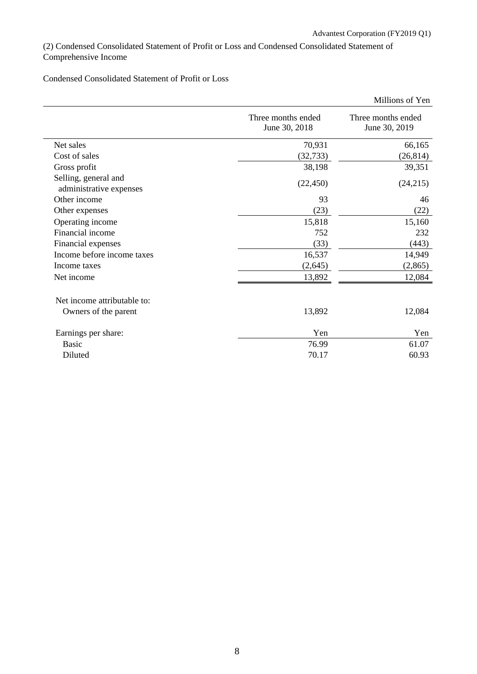(2) Condensed Consolidated Statement of Profit or Loss and Condensed Consolidated Statement of Comprehensive Income

## Condensed Consolidated Statement of Profit or Loss

|                                                 |                                     | Millions of Yen                     |
|-------------------------------------------------|-------------------------------------|-------------------------------------|
|                                                 | Three months ended<br>June 30, 2018 | Three months ended<br>June 30, 2019 |
| Net sales                                       | 70,931                              | 66,165                              |
| Cost of sales                                   | (32, 733)                           | (26, 814)                           |
| Gross profit                                    | 38,198                              | 39,351                              |
| Selling, general and<br>administrative expenses | (22, 450)                           | (24,215)                            |
| Other income                                    | 93                                  | 46                                  |
| Other expenses                                  | (23)                                | (22)                                |
| Operating income                                | 15,818                              | 15,160                              |
| Financial income                                | 752                                 | 232                                 |
| Financial expenses                              | (33)                                | (443)                               |
| Income before income taxes                      | 16,537                              | 14,949                              |
| Income taxes                                    | (2,645)                             | (2, 865)                            |
| Net income                                      | 13,892                              | 12,084                              |
| Net income attributable to:                     |                                     |                                     |
| Owners of the parent                            | 13,892                              | 12,084                              |
| Earnings per share:                             | Yen                                 | Yen                                 |
| <b>Basic</b>                                    | 76.99                               | 61.07                               |
| Diluted                                         | 70.17                               | 60.93                               |
|                                                 |                                     |                                     |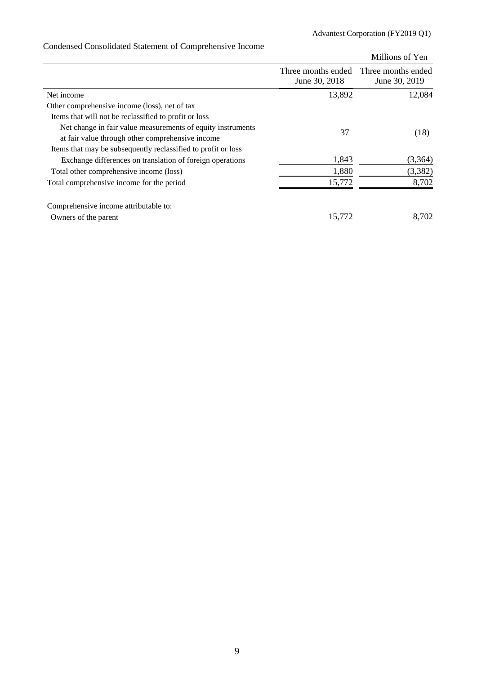|                                                               |                                     | Millions of Yen                     |
|---------------------------------------------------------------|-------------------------------------|-------------------------------------|
|                                                               | Three months ended<br>June 30, 2018 | Three months ended<br>June 30, 2019 |
| Net income                                                    | 13,892                              | 12,084                              |
| Other comprehensive income (loss), net of tax                 |                                     |                                     |
| Items that will not be reclassified to profit or loss         |                                     |                                     |
| Net change in fair value measurements of equity instruments   | 37                                  | (18)                                |
| at fair value through other comprehensive income              |                                     |                                     |
| Items that may be subsequently reclassified to profit or loss |                                     |                                     |
| Exchange differences on translation of foreign operations     | 1,843                               | (3,364)                             |
| Total other comprehensive income (loss)                       | 1,880                               | (3, 382)                            |
| Total comprehensive income for the period                     | 15,772                              | 8,702                               |
| Comprehensive income attributable to:                         |                                     |                                     |
| Owners of the parent                                          | 15,772                              | 8,702                               |

# Condensed Consolidated Statement of Comprehensive Income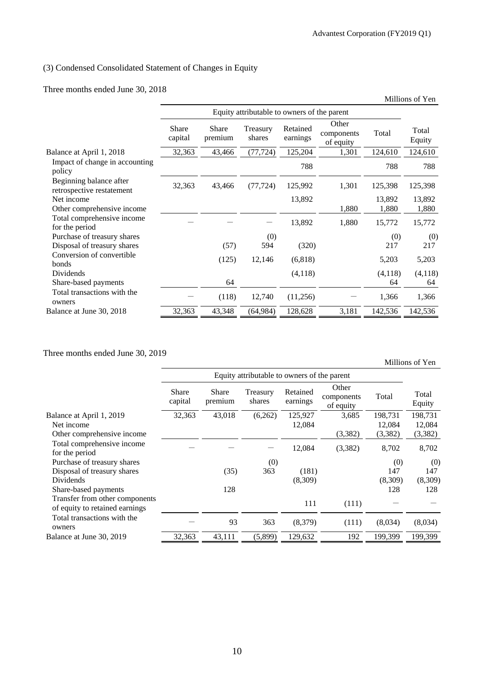## (3) Condensed Consolidated Statement of Changes in Equity

Three months ended June 30, 2018

|                                                      |                                             |                  |                    |                      |                                  |         | Millions of Yen |  |  |
|------------------------------------------------------|---------------------------------------------|------------------|--------------------|----------------------|----------------------------------|---------|-----------------|--|--|
|                                                      | Equity attributable to owners of the parent |                  |                    |                      |                                  |         |                 |  |  |
|                                                      | Share<br>capital                            | Share<br>premium | Treasury<br>shares | Retained<br>earnings | Other<br>components<br>of equity | Total   | Total<br>Equity |  |  |
| Balance at April 1, 2018                             | 32,363                                      | 43,466           | (77, 724)          | 125,204              | 1,301                            | 124,610 | 124,610         |  |  |
| Impact of change in accounting<br>policy             |                                             |                  |                    | 788                  |                                  | 788     | 788             |  |  |
| Beginning balance after<br>retrospective restatement | 32,363                                      | 43,466           | (77, 724)          | 125,992              | 1,301                            | 125,398 | 125,398         |  |  |
| Net income                                           |                                             |                  |                    | 13,892               |                                  | 13,892  | 13,892          |  |  |
| Other comprehensive income                           |                                             |                  |                    |                      | 1,880                            | 1,880   | 1,880           |  |  |
| Total comprehensive income<br>for the period         |                                             |                  |                    | 13,892               | 1,880                            | 15,772  | 15,772          |  |  |
| Purchase of treasury shares                          |                                             |                  | (0)                |                      |                                  | (0)     | (0)             |  |  |
| Disposal of treasury shares                          |                                             | (57)             | 594                | (320)                |                                  | 217     | 217             |  |  |
| Conversion of convertible<br>bonds                   |                                             | (125)            | 12,146             | (6,818)              |                                  | 5,203   | 5,203           |  |  |
| Dividends                                            |                                             |                  |                    | (4,118)              |                                  | (4,118) | (4, 118)        |  |  |
| Share-based payments                                 |                                             | 64               |                    |                      |                                  | 64      | 64              |  |  |
| Total transactions with the<br>owners                |                                             | (118)            | 12,740             | (11,256)             |                                  | 1,366   | 1,366           |  |  |
| Balance at June 30, 2018                             | 32,363                                      | 43,348           | (64, 984)          | 128,628              | 3,181                            | 142,536 | 142,536         |  |  |

Three months ended June 30, 2019

|                                                                  |                                             |                         |                    |                      |                                  |         | Millions of Yen |  |  |
|------------------------------------------------------------------|---------------------------------------------|-------------------------|--------------------|----------------------|----------------------------------|---------|-----------------|--|--|
|                                                                  | Equity attributable to owners of the parent |                         |                    |                      |                                  |         |                 |  |  |
|                                                                  | <b>Share</b><br>capital                     | <b>Share</b><br>premium | Treasury<br>shares | Retained<br>earnings | Other<br>components<br>of equity | Total   | Total<br>Equity |  |  |
| Balance at April 1, 2019                                         | 32,363                                      | 43,018                  | (6,262)            | 125,927              | 3,685                            | 198,731 | 198,731         |  |  |
| Net income                                                       |                                             |                         |                    | 12,084               |                                  | 12,084  | 12,084          |  |  |
| Other comprehensive income                                       |                                             |                         |                    |                      | (3,382)                          | (3,382) | (3,382)         |  |  |
| Total comprehensive income<br>for the period                     |                                             |                         |                    | 12,084               | (3,382)                          | 8,702   | 8,702           |  |  |
| Purchase of treasury shares                                      |                                             |                         | (0)                |                      |                                  | (0)     | (0)             |  |  |
| Disposal of treasury shares                                      |                                             | (35)                    | 363                | (181)                |                                  | 147     | 147             |  |  |
| Dividends                                                        |                                             |                         |                    | (8,309)              |                                  | (8,309) | (8,309)         |  |  |
| Share-based payments                                             |                                             | 128                     |                    |                      |                                  | 128     | 128             |  |  |
| Transfer from other components<br>of equity to retained earnings |                                             |                         |                    | 111                  | (111)                            |         |                 |  |  |
| Total transactions with the<br>owners                            |                                             | 93                      | 363                | (8,379)              | (111)                            | (8,034) | (8,034)         |  |  |
| Balance at June 30, 2019                                         | 32,363                                      | 43,111                  | (5,899)            | 129,632              | 192                              | 199,399 | 199,399         |  |  |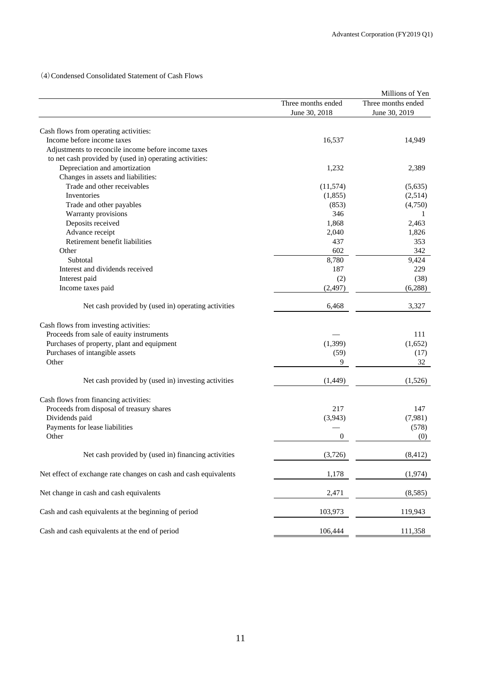(4)Condensed Consolidated Statement of Cash Flows

|                                                                  |                    | Millions of Yen    |
|------------------------------------------------------------------|--------------------|--------------------|
|                                                                  | Three months ended | Three months ended |
|                                                                  | June 30, 2018      | June 30, 2019      |
|                                                                  |                    |                    |
| Cash flows from operating activities:                            |                    |                    |
| Income before income taxes                                       | 16,537             | 14,949             |
| Adjustments to reconcile income before income taxes              |                    |                    |
| to net cash provided by (used in) operating activities:          |                    |                    |
| Depreciation and amortization                                    | 1,232              | 2,389              |
| Changes in assets and liabilities:                               |                    |                    |
| Trade and other receivables                                      | (11, 574)          | (5,635)            |
| Inventories                                                      | (1,855)            | (2,514)            |
| Trade and other payables                                         | (853)              | (4,750)            |
| Warranty provisions                                              | 346                | 1                  |
| Deposits received                                                | 1,868              | 2,463              |
| Advance receipt                                                  | 2,040              | 1,826              |
| Retirement benefit liabilities                                   | 437                | 353                |
| Other                                                            | 602                | 342                |
| Subtotal                                                         | 8,780              | 9,424              |
| Interest and dividends received                                  | 187                | 229                |
| Interest paid                                                    | (2)                | (38)               |
| Income taxes paid                                                | (2, 497)           | (6, 288)           |
| Net cash provided by (used in) operating activities              | 6.468              | 3,327              |
| Cash flows from investing activities:                            |                    |                    |
| Proceeds from sale of eauity instruments                         |                    | 111                |
| Purchases of property, plant and equipment                       | (1, 399)           | (1,652)            |
| Purchases of intangible assets                                   | (59)               | (17)               |
| Other                                                            | 9                  | 32                 |
|                                                                  |                    |                    |
| Net cash provided by (used in) investing activities              | (1,449)            | (1,526)            |
| Cash flows from financing activities:                            |                    |                    |
| Proceeds from disposal of treasury shares                        | 217                | 147                |
| Dividends paid                                                   | (3,943)            | (7,981)            |
| Payments for lease liabilities                                   |                    | (578)              |
| Other                                                            | $\boldsymbol{0}$   | (0)                |
| Net cash provided by (used in) financing activities              | (3,726)            | (8, 412)           |
| Net effect of exchange rate changes on cash and cash equivalents | 1,178              | (1,974)            |
| Net change in cash and cash equivalents                          | 2,471              | (8,585)            |
| Cash and cash equivalents at the beginning of period             | 103,973            | 119,943            |
| Cash and cash equivalents at the end of period                   | 106,444            | 111,358            |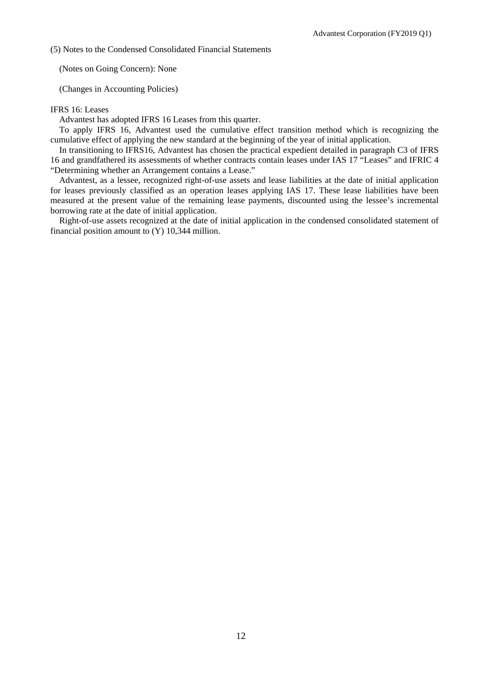(5) Notes to the Condensed Consolidated Financial Statements

(Notes on Going Concern): None

(Changes in Accounting Policies)

### IFRS 16: Leases

Advantest has adopted IFRS 16 Leases from this quarter.

To apply IFRS 16, Advantest used the cumulative effect transition method which is recognizing the cumulative effect of applying the new standard at the beginning of the year of initial application.

In transitioning to IFRS16, Advantest has chosen the practical expedient detailed in paragraph C3 of IFRS 16 and grandfathered its assessments of whether contracts contain leases under IAS 17 "Leases" and IFRIC 4 "Determining whether an Arrangement contains a Lease."

Advantest, as a lessee, recognized right-of-use assets and lease liabilities at the date of initial application for leases previously classified as an operation leases applying IAS 17. These lease liabilities have been measured at the present value of the remaining lease payments, discounted using the lessee's incremental borrowing rate at the date of initial application.

Right-of-use assets recognized at the date of initial application in the condensed consolidated statement of financial position amount to (Y) 10,344 million.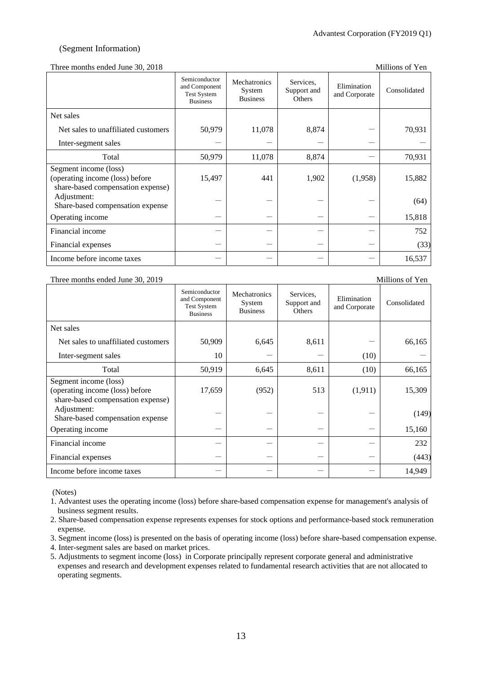## (Segment Information)

### Three months ended June 30, 2018 Millions of Yen

|                                                                                               | Semiconductor<br>and Component<br><b>Test System</b><br><b>Business</b> | Mechatronics<br>System<br><b>Business</b> | Services.<br>Support and<br>Others | Elimination<br>and Corporate | Consolidated |
|-----------------------------------------------------------------------------------------------|-------------------------------------------------------------------------|-------------------------------------------|------------------------------------|------------------------------|--------------|
| Net sales                                                                                     |                                                                         |                                           |                                    |                              |              |
| Net sales to unaffiliated customers                                                           | 50,979                                                                  | 11,078                                    | 8,874                              |                              | 70,931       |
| Inter-segment sales                                                                           |                                                                         |                                           |                                    |                              |              |
| Total                                                                                         | 50,979                                                                  | 11,078                                    | 8,874                              |                              | 70,931       |
| Segment income (loss)<br>(operating income (loss) before<br>share-based compensation expense) | 15,497                                                                  | 441                                       | 1,902                              | (1,958)                      | 15,882       |
| Adjustment:<br>Share-based compensation expense                                               |                                                                         |                                           |                                    |                              | (64)         |
| Operating income                                                                              |                                                                         |                                           |                                    |                              | 15,818       |
| Financial income                                                                              |                                                                         |                                           |                                    |                              | 752          |
| Financial expenses                                                                            |                                                                         |                                           |                                    |                              | (33)         |
| Income before income taxes                                                                    |                                                                         |                                           |                                    |                              | 16,537       |

## Three months ended June 30, 2019

|                                                                                               | Semiconductor<br>and Component<br><b>Test System</b><br><b>Business</b> | Mechatronics<br>System<br><b>Business</b> | Services.<br>Support and<br>Others | Elimination<br>and Corporate | Consolidated |
|-----------------------------------------------------------------------------------------------|-------------------------------------------------------------------------|-------------------------------------------|------------------------------------|------------------------------|--------------|
| Net sales                                                                                     |                                                                         |                                           |                                    |                              |              |
| Net sales to unaffiliated customers                                                           | 50,909                                                                  | 6,645                                     | 8,611                              |                              | 66,165       |
| Inter-segment sales                                                                           | 10                                                                      |                                           |                                    | (10)                         |              |
| Total                                                                                         | 50,919                                                                  | 6,645                                     | 8,611                              | (10)                         | 66,165       |
| Segment income (loss)<br>(operating income (loss) before<br>share-based compensation expense) | 17,659                                                                  | (952)                                     | 513                                | (1,911)                      | 15,309       |
| Adjustment:<br>Share-based compensation expense                                               |                                                                         |                                           |                                    |                              | (149)        |
| Operating income                                                                              |                                                                         |                                           |                                    |                              | 15,160       |
| Financial income                                                                              |                                                                         |                                           |                                    |                              | 232          |
| Financial expenses                                                                            |                                                                         |                                           |                                    |                              | (443)        |
| Income before income taxes                                                                    |                                                                         |                                           |                                    |                              | 14,949       |

(Notes)

1. Advantest uses the operating income (loss) before share-based compensation expense for management's analysis of business segment results.

2. Share-based compensation expense represents expenses for stock options and performance-based stock remuneration expense.

3. Segment income (loss) is presented on the basis of operating income (loss) before share-based compensation expense.

4. Inter-segment sales are based on market prices.

5. Adjustments to segment income (loss) in Corporate principally represent corporate general and administrative expenses and research and development expenses related to fundamental research activities that are not allocated to operating segments.